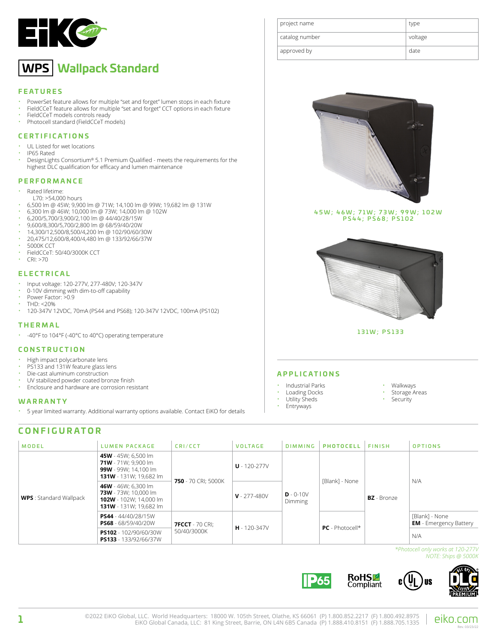

# **WPS Wallpack Standard**

## **FEATURES**

- PowerSet feature allows for multiple "set and forget" lumen stops in each fixture
- FieldCCeT feature allows for multiple "set and forget" CCT options in each fixture
- FieldCCeT models controls ready<br>• Photocoll standard (FieldCCeT me
- Photocell standard (FieldCCeT models)

## **CERTIFICATIONS**

- UL Listed for wet locations
- IP65 Rated<br>• DesignLight
- DesignLights Consortium® 5.1 Premium Qualified meets the requirements for the highest DLC qualification for efficacy and lumen maintenance

## **PERFORMANCE**

- Rated lifetime:
- L70: >54,000 hours
- 6,500 lm @ 45W; 9,900 lm @ 71W; 14,100 lm @ 99W; 19,682 lm @ 131W
- 6,300 lm @ 46W; 10,000 lm @ 73W; 14,000 lm @ 102W
- 6,200/5,700/3,900/2,100 lm @ 44/40/28/15W
- 9,600/8,300/5,700/2,800 lm @ 68/59/40/20W
- 14,300/12,500/8,500/4,200 lm @ 102/90/60/30W
- 20,475/12,600/8,400/4,480 lm @ 133/92/66/37W
- 5000K CCT<br>• FieldCCeT·
- FieldCCeT: 50/40/3000K CCT • CRI: >70
- 

## **ELECTRICAL**

- Input voltage: 120-277V, 277-480V; 120-347V
- 0-10V dimming with dim-to-off capability
- Power Factor:  $>0.9$
- THD: <20%
- 120-347V 12VDC, 70mA (PS44 and PS68); 120-347V 12VDC, 100mA (PS102)

## **THERMAL**

• -40°F to 104°F (-40°C to 40°C) operating temperature

## **CONSTRUCTION**

- High impact polycarbonate lens
- PS133 and 131W feature glass lens
- Die-cast aluminum construction
- UV stabilized powder coated bronze finish
- Enclosure and hardware are corrosion resistant

## **WARRANTY**

• 5 year limited warranty. Additional warranty options available. Contact EiKO for details

# **CONFIGURATOR**

| project name   | type    |
|----------------|---------|
| catalog number | voltage |
| approved by    | date    |



45W; 46W; 71W; 73W; 99W; 102W PS44; PS68; PS102



131W; PS133

## **APPLICATIONS**

- Industrial Parks
- Loading Docks
- Utility Sheds
- Entryways
- Walkways
- **Security**
- -

**P65** 

- Storage Areas
- 

| <b>MODEL</b>                   | <b>LUMEN PACKAGE</b>                                                                                   | CRI/CCT                               | <b>VOLTAGE</b>   | <b>DIMMING</b>         | <b>PHOTOCELL</b>  | <b>FINISH</b>      | <b>OPTIONS</b>                                  |
|--------------------------------|--------------------------------------------------------------------------------------------------------|---------------------------------------|------------------|------------------------|-------------------|--------------------|-------------------------------------------------|
|                                | 45W - 45W; 6,500 lm<br>71W - 71W; 9,900 lm<br>99W - 99W: 14.100 lm<br><b>131W</b> - 131W; 19,682 lm    | 750 - 70 CRI: 5000K                   | $U - 120 - 277V$ | $D - 0-10V$<br>Dimming | [Blank] - None    | <b>BZ</b> - Bronze | N/A                                             |
| <b>WPS</b> : Standard Wallpack | 46W - 46W: 6.300 lm<br>73W - 73W: 10.000 lm<br>102W - 102W: 14.000 lm<br><b>131W</b> - 131W; 19,682 lm |                                       | $V - 277 - 480V$ |                        |                   |                    |                                                 |
|                                | PS44 - 44/40/28/15W<br><b>PS68</b> - 68/59/40/20W                                                      | <b>7FCCT</b> - 70 CRI:<br>50/40/3000K | $H - 120 - 347V$ |                        | $PC$ - Photocell* |                    | [Blank] - None<br><b>EM</b> - Emergency Battery |
|                                | PS102 - 102/90/60/30W<br><b>PS133</b> - 133/92/66/37W                                                  |                                       |                  |                        |                   |                    | N/A                                             |

*\*Photocell only works at 120-277V NOTE: Ships @ 5000K*



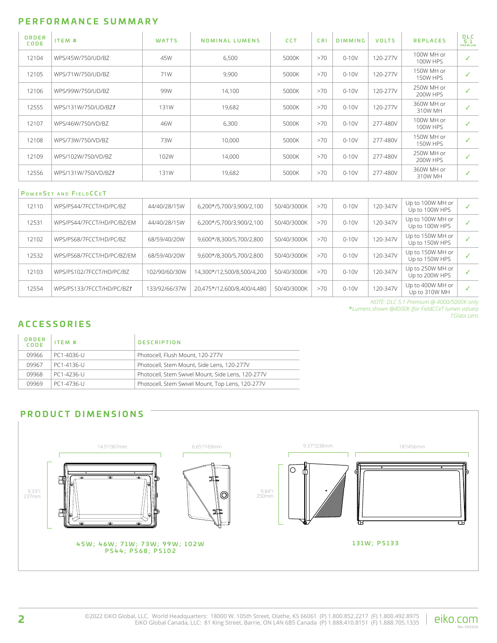## **PERFORMANCE SUMMARY**

| ORDER<br>CODE | ITEM #              | <b>WATTS</b> | NOMINAL LUMENS | <b>CCT</b> | <b>CRI</b> | <b>DIMMING</b> | <b>VOLTS</b> | <b>REPLACES</b>               | <b>DLC</b><br>5.1<br>PREMIUM |
|---------------|---------------------|--------------|----------------|------------|------------|----------------|--------------|-------------------------------|------------------------------|
| 12104         | WPS/45W/750/UD/BZ   | 45W          | 6,500          | 5000K      | >70        | $0-10V$        | 120-277V     | 100W MH or<br><b>100W HPS</b> | ✓                            |
| 12105         | WPS/71W/750/UD/BZ   | 71W          | 9,900          | 5000K      | >70        | $0-10V$        | 120-277V     | 150W MH or<br><b>150W HPS</b> | ✓                            |
| 12106         | WPS/99W/750/UD/BZ   | 99W          | 14,100         | 5000K      | >70        | $0-10V$        | 120-277V     | 250W MH or<br>200W HPS        | $\checkmark$                 |
| 12555         | WPS/131W/750/UD/BZt | 131W         | 19,682         | 5000K      | >70        | $0-10V$        | 120-277V     | 360W MH or<br>310W MH         | ✓                            |
| 12107         | WPS/46W/750/VD/BZ   | 46W          | 6,300          | 5000K      | >70        | $0-10V$        | 277-480V     | 100W MH or<br>100W HPS        | ✓                            |
| 12108         | WPS/73W/750/VD/BZ   | 73W          | 10,000         | 5000K      | >70        | $0-10V$        | 277-480V     | 150W MH or<br><b>150W HPS</b> | ✓                            |
| 12109         | WPS/102W/750/VD/BZ  | 102W         | 14,000         | 5000K      | >70        | $0-10V$        | 277-480V     | 250W MH or<br>200W HPS        | ✓                            |
| 12556         | WPS/131W/750/VD/BZt | 131W         | 19,682         | 5000K      | >70        | $0-10V$        | 277-480V     | 360W MH or<br>310W MH         | ✓                            |

|       | <b>POWERSET AND FIELDCCET</b> |               |                            |             |     |           |          |                                    |  |
|-------|-------------------------------|---------------|----------------------------|-------------|-----|-----------|----------|------------------------------------|--|
| 12110 | WPS/PS44/7FCCT/HD/PC/B7       | 44/40/28/15W  | 6,200*/5,700/3,900/2,100   | 50/40/3000K | >70 | $0 - 10V$ | 120-347V | Up to 100W MH or<br>Up to 100W HPS |  |
| 12531 | WPS/PS44/7FCCT/HD/PC/BZ/EM    | 44/40/28/15W  | 6,200*/5,700/3,900/2,100   | 50/40/3000K | >70 | $0-10V$   | 120-347V | Up to 100W MH or<br>Up to 100W HPS |  |
| 12102 | WPS/PS68/7FCCT/HD/PC/B7       | 68/59/40/20W  | 9.600*/8.300/5.700/2.800   | 50/40/3000K | >70 | $0 - 10V$ | 120-347V | Up to 150W MH or<br>Up to 150W HPS |  |
| 12532 | WPS/PS68/7FCCT/HD/PC/BZ/EM    | 68/59/40/20W  | 9.600*/8.300/5.700/2.800   | 50/40/3000K | >70 | $0 - 10V$ | 120-347V | Up to 150W MH or<br>Up to 150W HPS |  |
| 12103 | WPS/PS102/7FCCT/HD/PC/B7      | 102/90/60/30W | 14.300*/12.500/8.500/4.200 | 50/40/3000K | >70 | $0 - 10V$ | 120-347V | Up to 250W MH or<br>Up to 200W HPS |  |
| 12554 | WPS/PS133/7FCCT/HD/PC/BZt     | 133/92/66/37W | 20.475*/12.600/8.400/4.480 | 50/40/3000K | >70 | $0 - 10V$ | 120-347V | Up to 400W MH or<br>Up to 310W MH  |  |

*NOTE: DLC 5.1 Premium @ 4000/5000K only* \**Lumens shown @4000K (for FieldCCeT lumen values) †Glass Lens*

# **ACCESSORIES**

| ORDER<br>CODE | ITEM #     | <b>DESCRIPTION</b>                                |
|---------------|------------|---------------------------------------------------|
| 09966         | PC1-4036-U | Photocell, Flush Mount, 120-277V                  |
| 09967         | PC1-4136-U | Photocell. Stem Mount. Side Lens. 120-277V        |
| 09968         | PC1-4236-U | Photocell, Stem Swivel Mount, Side Lens, 120-277V |
| 09969         | PC1-4736-U | Photocell, Stem Swivel Mount, Top Lens, 120-277V  |

## **PRODUCT DIMENSIONS**

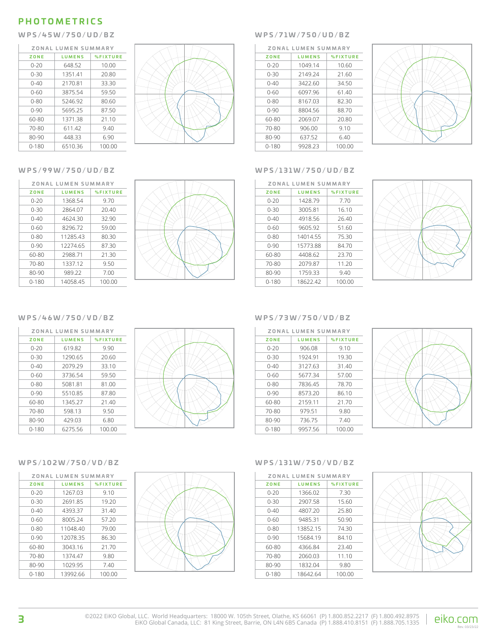# **PHOTOMETRICS**

## **W P S / 4 5 W / 7 5 0 / U D / B Z W P S / 7 1 W / 7 5 0 / U D / B Z**

| ZONAL LUMEN SUMMARY |               |                 |  |  |
|---------------------|---------------|-----------------|--|--|
| ZONE                | <b>LUMENS</b> | <b>%FIXTURE</b> |  |  |
| $0 - 20$            | 648.52        | 10.00           |  |  |
| $0 - 30$            | 1351.41       | 20.80           |  |  |
| $0 - 40$            | 2170.81       | 33.30           |  |  |
| $0 - 60$            | 3875.54       | 59.50           |  |  |
| $0 - 80$            | 5246.92       | 80.60           |  |  |
| 0-90                | 5695.25       | 87.50           |  |  |
| 60-80               | 1371.38       | 21.10           |  |  |
| 70-80               | 611.42        | 9.40            |  |  |
| 80-90               | 448.33        | 6.90            |  |  |
| $0 - 180$           | 6510.36       | 100.00          |  |  |



| ZONAL LUMEN SUMMARY |               |                 |  |  |  |
|---------------------|---------------|-----------------|--|--|--|
| ZONE                | <b>LUMENS</b> | <b>%FIXTURE</b> |  |  |  |
| $0 - 20$            | 1049.14       | 10.60           |  |  |  |
| $0 - 30$            | 2149.24       | 21.60           |  |  |  |
| $0 - 40$            | 3422.60       | 34.50           |  |  |  |
| 0-60                | 6097.96       | 61.40           |  |  |  |
| $0 - 80$            | 8167.03       | 82.30           |  |  |  |
| $0 - 90$            | 8804.56       | 88.70           |  |  |  |
| 60-80               | 2069.07       | 20.80           |  |  |  |
| 70-80               | 906.00        | 9.10            |  |  |  |
| 80-90               | 637.52        | 6.40            |  |  |  |
| $0 - 180$           | 9928.23       | 100.00          |  |  |  |



## **W P S / 9 9 W / 7 5 0 / U D / B Z W P S / 1 3 1 W / 7 5 0 / U D / B Z**

| ZONAL LUMEN SUMMARY |               |                 |  |  |  |
|---------------------|---------------|-----------------|--|--|--|
| ZONE                | <b>LUMENS</b> | <b>%FIXTURE</b> |  |  |  |
| $0 - 20$            | 1428.79       | 7.70            |  |  |  |
| $0 - 30$            | 3005.81       | 16.10           |  |  |  |
| $0 - 40$            | 4918.56       | 26.40           |  |  |  |
| $0 - 60$            | 9605.92       | 51.60           |  |  |  |
| $0 - 80$            | 14014.55      | 75.30           |  |  |  |
| $0 - 90$            | 15773.88      | 84.70           |  |  |  |
| 60-80               | 4408.62       | 23.70           |  |  |  |
| 70-80               | 2079.87       | 11.20           |  |  |  |
| 80-90               | 1759.33       | 9.40            |  |  |  |
| $0 - 180$           | 18622.42      | 100.00          |  |  |  |



# **ZONE LUMENS %FIXTURE**

**ZONAL LUMEN SUMMARY**

| $0 - 20$ | 1368.54  | 9.70   |
|----------|----------|--------|
| $0 - 30$ | 2864.07  | 20.40  |
| $0 - 40$ | 4624.30  | 32.90  |
| 0-60     | 8296.72  | 59.00  |
| $0 - 80$ | 11285.43 | 80.30  |
| $0 - 90$ | 12274.65 | 87.30  |
| 60-80    | 2988.71  | 21.30  |
| 70-80    | 1337.12  | 9.50   |
| 80-90    | 989.22   | 7.00   |
| 0-180    | 14058.45 | 100.00 |

## W P S / 4 6 W / 7 5 0 / V D / B Z W P S / 7 3 W / 7 5 0 / V D / B Z

| ZONAL LUMEN SUMMARY |               |                 |  |  |
|---------------------|---------------|-----------------|--|--|
| ZONE                | <b>LUMENS</b> | <b>%FIXTURE</b> |  |  |
| $0 - 20$            | 619.82        | 9.90            |  |  |
| $0 - 30$            | 1290.65       | 20.60           |  |  |
| $0 - 40$            | 2079.29       | 33.10           |  |  |
| $0 - 60$            | 3736.54       | 59.50           |  |  |
| $0 - 80$            | 5081.81       | 81.00           |  |  |
| $0 - 90$            | 5510.85       | 87.80           |  |  |
| 60-80               | 1345.27       | 21.40           |  |  |
| 70-80               | 598.13        | 9.50            |  |  |
| 80-90               | 429.03        | 6.80            |  |  |
| $0 - 180$           | 6275.56       | 100.00          |  |  |



| ZONAL LUMEN SUMMARY |               |                 |  |  |  |
|---------------------|---------------|-----------------|--|--|--|
| ZONE                | <b>LUMENS</b> | <b>%FIXTURE</b> |  |  |  |
| 0-20                | 906.08        | 9.10            |  |  |  |
| 0-30                | 1924.91       | 19.30           |  |  |  |
| 0-40                | 3127.63       | 31.40           |  |  |  |
| 0-60                | 5677.34       | 57.00           |  |  |  |
| $0 - 80$            | 7836.45       | 78.70           |  |  |  |
| $0 - 90$            | 8573.20       | 86.10           |  |  |  |
| 60-80               | 2159.11       | 21.70           |  |  |  |
| 70-80               | 979.51        | 9.80            |  |  |  |
| 80-90               | 736.75        | 7.40            |  |  |  |
| $0 - 180$           | 9957.56       | 100.00          |  |  |  |



|          | ZONAL LUMEN SUMMARY |                 |  |  |  |
|----------|---------------------|-----------------|--|--|--|
| ZONE     | <b>LUMENS</b>       | <b>%FIXTURE</b> |  |  |  |
| $0 - 20$ | 1267.03             | 9.10            |  |  |  |
| $0 - 30$ | 2691.85             | 19.20           |  |  |  |
| $0 - 40$ | 4393.37             | 31.40           |  |  |  |
| $0 - 60$ | 8005.24             | 57.20           |  |  |  |
| $0 - 80$ | 11048.40            | 79.00           |  |  |  |
| $0 - 90$ | 12078.35            | 86.30           |  |  |  |
| 60-80    | 3043.16             | 21.70           |  |  |  |
| 70-80    | 1374.47             | 9.80            |  |  |  |
| 80-90    | 1029.95             | 7.40            |  |  |  |
| 0-180    | 13992.66            | 100.00          |  |  |  |



## W P S / 1 0 2 W / 7 5 0 / V D / B Z W P S / 1 3 1 W / 7 5 0 / V D / B Z

| ZONAL LUMEN SUMMARY |               |                 |  |
|---------------------|---------------|-----------------|--|
| ZONE                | <b>LUMENS</b> | <b>%FIXTURE</b> |  |
| $0 - 20$            | 1366.02       | 7.30            |  |
| $0 - 30$            | 2907.58       | 15.60           |  |
| $0 - 40$            | 4807.20       | 25.80           |  |
| $0 - 60$            | 9485.31       | 50.90           |  |
| $0 - 80$            | 13852.15      | 74.30           |  |
| $0 - 90$            | 15684.19      | 84.10           |  |
| 60-80               | 4366.84       | 23.40           |  |
| 70-80               | 2060.03       | 11.10           |  |
| 80-90               | 1832.04       | 9.80            |  |
| $0 - 180$           | 18642.64      | 100.00          |  |